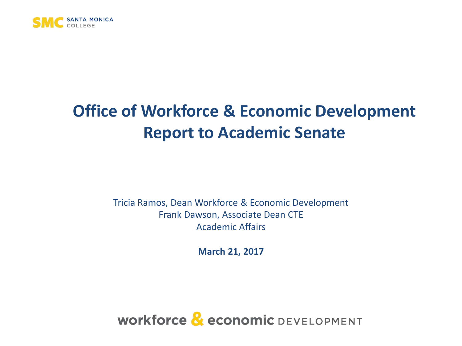

#### **Office of Workforce & Economic Development Report to Academic Senate**

Tricia Ramos, Dean Workforce & Economic Development Frank Dawson, Associate Dean CTE Academic Affairs

**March 21, 2017**

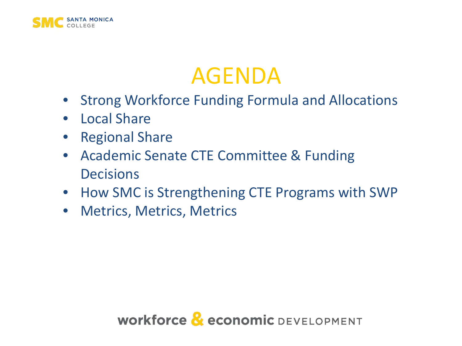

#### AGENDA

- Strong Workforce Funding Formula and Allocations
- Local Share
- Regional Share
- Academic Senate CTE Committee & Funding **Decisions**
- How SMC is Strengthening CTE Programs with SWP
- Metrics, Metrics, Metrics

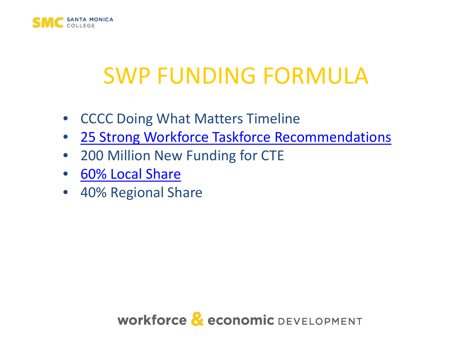

### SWP FUNDING FORMULA

- CCCC Doing What Matters Timeline
- [25 Strong Workforce Taskforce Recommendations](http://doingwhatmatters.cccco.edu/portals/6/docs/sw/2016_11 Workforce_Task_Force_Implementation Recommendations Version 1.pdf)
- 200 Million New Funding for CTE
- [60% Local Share](http://doingwhatmatters.cccco.edu/portals/6/docs/sw/Strong Workforce Program Allocation for 2016-17.pdf)
- 40% Regional Share

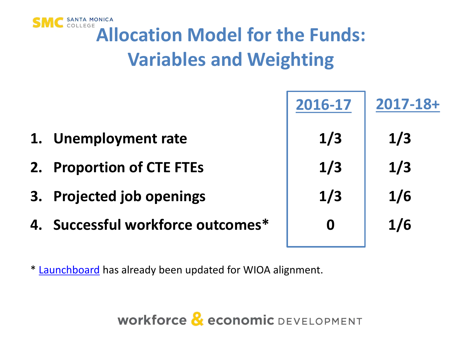

## **MC** SANTA MONICA<br>**Allocation Model for the Funds: Variables and Weighting**

|    |                                | 2016-17          | $2017 - 18 +$ |
|----|--------------------------------|------------------|---------------|
| 1. | <b>Unemployment rate</b>       | 1/3              | 1/3           |
| 2. | <b>Proportion of CTE FTEs</b>  | 1/3              | 1/3           |
| 3. | <b>Projected job openings</b>  | 1/3              | 1/6           |
| 4. | Successful workforce outcomes* | $\boldsymbol{0}$ | 1/6           |
|    |                                |                  |               |

\* [Launchboard](https://www.calpassplus.org/LaunchBoard/Home.aspx) has already been updated for WIOA alignment.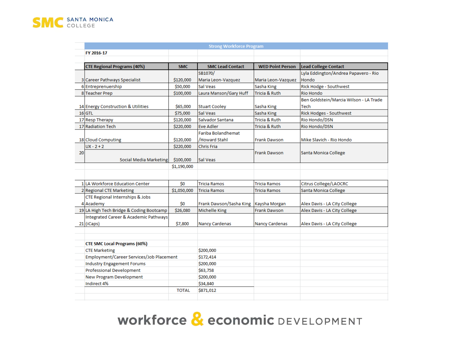

|    | <b>Strong Workforce Program</b>          |              |                           |                         |                                        |  |  |  |
|----|------------------------------------------|--------------|---------------------------|-------------------------|----------------------------------------|--|--|--|
|    | FY 2016-17                               |              |                           |                         |                                        |  |  |  |
|    |                                          |              |                           |                         |                                        |  |  |  |
|    | <b>CTE Regional Programs (40%)</b>       | <b>SMC</b>   | <b>SMC Lead Contact</b>   | <b>WED Point Person</b> | <b>Lead College Contact</b>            |  |  |  |
|    |                                          |              | SB1070/                   |                         | Lyla Eddington/Andrea Papavero - Rio   |  |  |  |
|    | 3 Career Pathways Specialist             | \$120,000    | Maria Leon-Vazquez        | Maria Leon-Vazquez      | <b>Hondo</b>                           |  |  |  |
|    | 6 Entreprenuership                       | \$50,000     | Sal Veas                  | Sasha King              | <b>Rick Hodge - Southwest</b>          |  |  |  |
|    | 8 Teacher Prep                           | \$100,000    | Laura Manson/Gary Huff    | Tricia & Ruth           | <b>Rio Hondo</b>                       |  |  |  |
|    |                                          |              |                           |                         | Ben Goldstein/Marcia Wilson - LA Trade |  |  |  |
|    | 14 Energy Construction & Utilities       | \$65,000     | <b>Stuart Cooley</b>      | Sasha King              | Tech                                   |  |  |  |
|    | $16$ GTL                                 | \$75,000     | Sal Veas                  | Sasha King              | <b>Rick Hodges - Southwest</b>         |  |  |  |
|    | 17 Resp Therapy                          | \$120,000    | Salvador Santana          | Tricia & Ruth           | Rio Hondo/DSN                          |  |  |  |
|    | 17 Radiation Tech                        | \$220,000    | <b>Eve Adler</b>          | Tricia & Ruth           | Rio Hondo/DSN                          |  |  |  |
|    |                                          |              | <b>Fariba Bolandhemat</b> |                         |                                        |  |  |  |
|    | 18 Cloud Computing                       | \$120,000    | /Howard Stahl             | <b>Frank Dawson</b>     | Mike Slavich - Rio Hondo               |  |  |  |
|    | $UX - 2 + 2$                             | \$220,000    | <b>Chris Fria</b>         |                         |                                        |  |  |  |
| 20 |                                          |              |                           | <b>Frank Dawson</b>     | Santa Monica College                   |  |  |  |
|    | Social Media Marketing                   | \$100,000    | Sal Veas                  |                         |                                        |  |  |  |
|    |                                          | \$1,190,000  |                           |                         |                                        |  |  |  |
|    |                                          |              |                           |                         |                                        |  |  |  |
|    | 1 LA Workforce Education Center          | \$0          | <b>Tricia Ramos</b>       | <b>Tricia Ramos</b>     | Citrus College/LAOCRC                  |  |  |  |
|    | 2 Regional CTE Marketing                 | \$1,050,000  | <b>Tricia Ramos</b>       | Tricia Ramos            | Santa Monica College                   |  |  |  |
|    | CTE Regional Internships & Jobs          |              |                           |                         |                                        |  |  |  |
|    | 4 Academy                                | Ś0           | Frank Dawson/Sasha King   | Kaysha Morgan           | Alex Davis - LA City College           |  |  |  |
|    | 19 LA High Tech Bridge & Coding Bootcamp | \$26,080     | Michelle King             | <b>Frank Dawson</b>     | Alex Davis - LA City College           |  |  |  |
|    | Integrated Career & Academic Pathways    |              |                           |                         |                                        |  |  |  |
|    | 21 (iCaps)                               | \$7,800      | <b>Nancy Cardenas</b>     | <b>Nancy Cardenas</b>   | Alex Davis - LA City College           |  |  |  |
|    |                                          |              |                           |                         |                                        |  |  |  |
|    |                                          |              |                           |                         |                                        |  |  |  |
|    | <b>CTE SMC Local Programs (60%)</b>      |              |                           |                         |                                        |  |  |  |
|    | <b>CTE Marketing</b>                     |              | \$200,000                 |                         |                                        |  |  |  |
|    | Employment/Career Services/Job Placement |              | \$172,414                 |                         |                                        |  |  |  |
|    | <b>Industry Engagement Forums</b>        |              | \$200,000                 |                         |                                        |  |  |  |
|    | <b>Professional Development</b>          |              | \$63,758                  |                         |                                        |  |  |  |
|    | <b>New Program Development</b>           |              | \$200,000                 |                         |                                        |  |  |  |
|    | Indirect 4%                              |              | \$34,840                  |                         |                                        |  |  |  |
|    |                                          | <b>TOTAL</b> | \$871,012                 |                         |                                        |  |  |  |
|    |                                          |              |                           |                         |                                        |  |  |  |

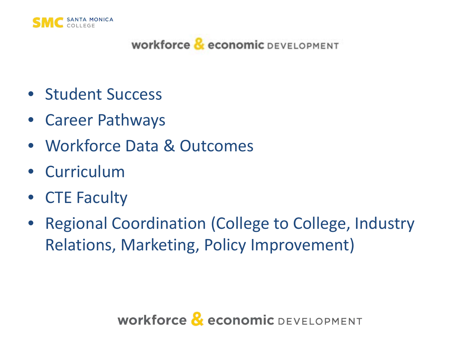

- Student Success
- Career Pathways
- Workforce Data & Outcomes
- Curriculum
- CTE Faculty
- Regional Coordination (College to College, Industry Relations, Marketing, Policy Improvement)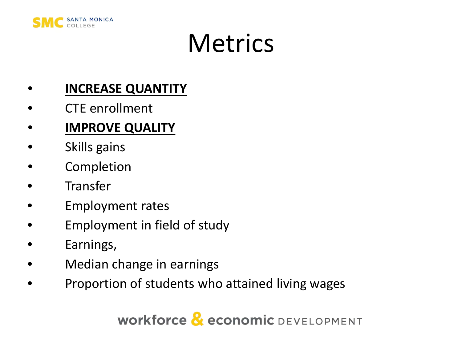

# **Metrics**

#### • **INCREASE QUANTITY**

- CTE enrollment
- **IMPROVE QUALITY**
- Skills gains
- **Completion**
- **Transfer**
- Employment rates
- Employment in field of study
- Earnings,
- Median change in earnings
- Proportion of students who attained living wages

Workforce & economic DEVELOPMENT